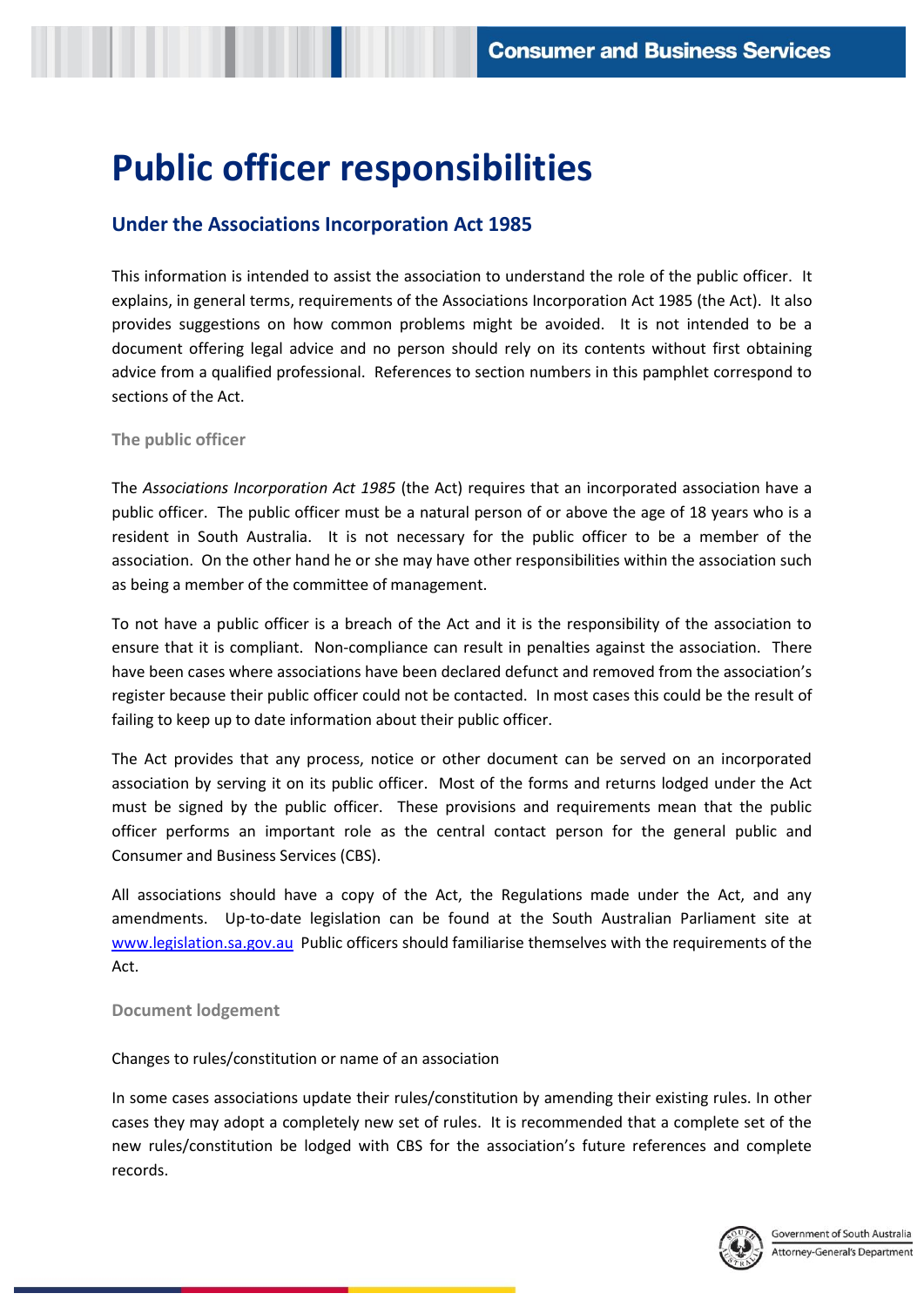# **Public officer responsibilities**

## **Under the Associations Incorporation Act 1985**

 This information is intended to assist the association to understand the role of the public officer. It explains, in general terms, requirements of the Associations Incorporation Act 1985 (the Act). It also provides suggestions on how common problems might be avoided. It is not intended to be a document offering legal advice and no person should rely on its contents without first obtaining advice from a qualified professional. References to section numbers in this pamphlet correspond to sections of the Act.

#### **The public officer**

 The *Associations Incorporation Act 1985* (the Act) requires that an incorporated association have a public officer. The public officer must be a natural person of or above the age of 18 years who is a resident in South Australia. It is not necessary for the public officer to be a member of the association. On the other hand he or she may have other responsibilities within the association such as being a member of the committee of management.

 To not have a public officer is a breach of the Act and it is the responsibility of the association to ensure that it is compliant. Non-compliance can result in penalties against the association. There register because their public officer could not be contacted. In most cases this could be the result of failing to keep up to date information about their public officer. have been cases where associations have been declared defunct and removed from the association's

 The Act provides that any process, notice or other document can be served on an incorporated association by serving it on its public officer. Most of the forms and returns lodged under the Act officer performs an important role as the central contact person for the general public and must be signed by the public officer. These provisions and requirements mean that the public Consumer and Business Services (CBS).

 All associations should have a copy of the Act, the Regulations made under the Act, and any amendments. Up-to-date legislation can be found at the South Australian Parliament site at [www.legislation.sa.gov.au](http://www.legislation.sa.gov.au/) Public officers should familiarise themselves with the requirements of the Act.

#### **Document lodgement**

#### Changes to rules/constitution or name of an association

 In some cases associations update their rules/constitution by amending their existing rules. In other cases they may adopt a completely new set of rules. It is recommended that a complete set of the new rules/constitution be lodged with CBS for the association's future references and complete records.

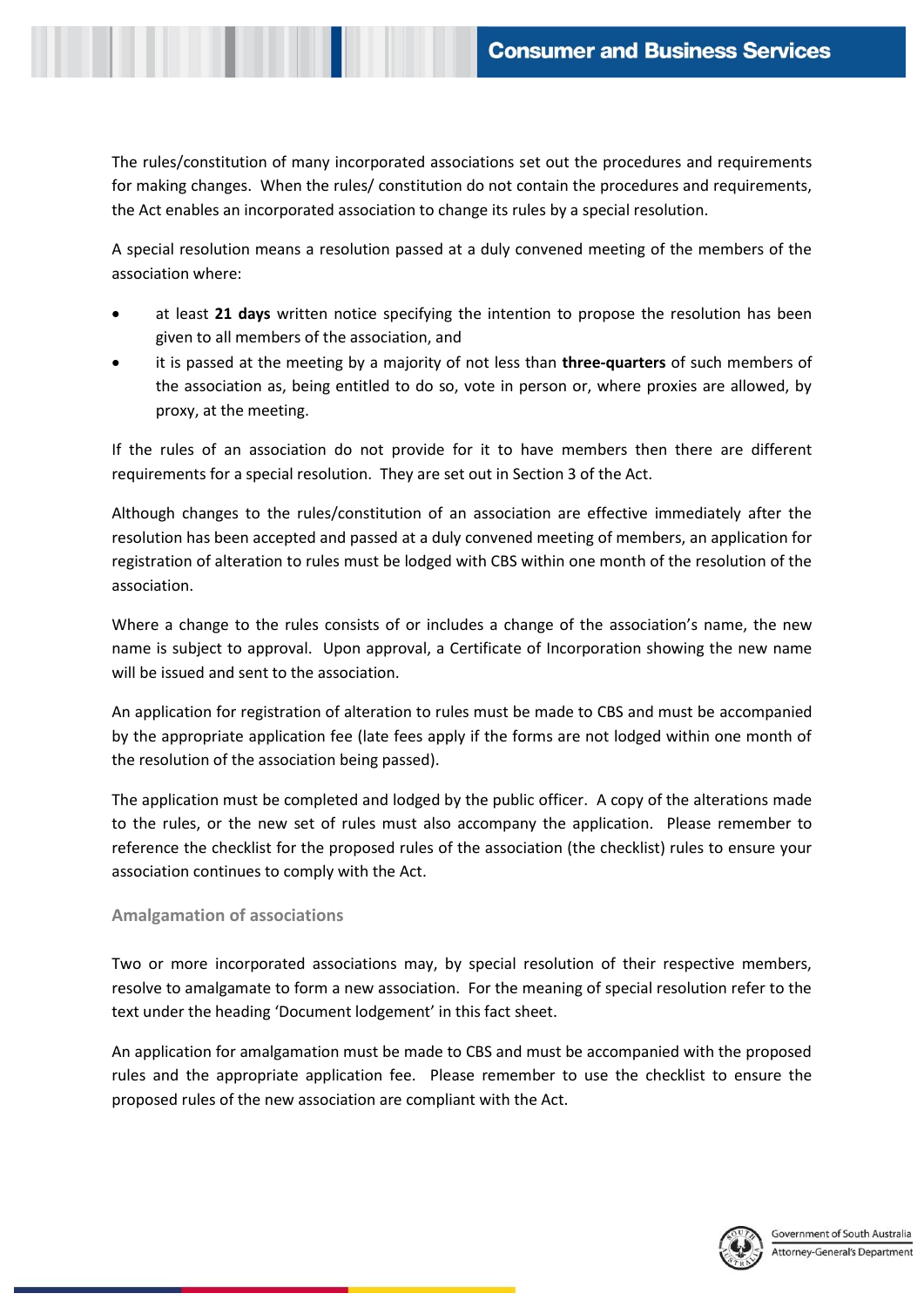The rules/constitution of many incorporated associations set out the procedures and requirements for making changes. When the rules/ constitution do not contain the procedures and requirements, the Act enables an incorporated association to change its rules by a special resolution.

 A special resolution means a resolution passed at a duly convened meeting of the members of the association where:

- at least **21 days** written notice specifying the intention to propose the resolution has been given to all members of the association, and
- it is passed at the meeting by a majority of not less than **three-quarters** of such members of the association as, being entitled to do so, vote in person or, where proxies are allowed, by proxy, at the meeting.

 If the rules of an association do not provide for it to have members then there are different requirements for a special resolution. They are set out in Section 3 of the Act.

 Although changes to the rules/constitution of an association are effective immediately after the registration of alteration to rules must be lodged with CBS within one month of the resolution of the resolution has been accepted and passed at a duly convened meeting of members, an application for association.

 name is subject to approval. Upon approval, a Certificate of Incorporation showing the new name Where a change to the rules consists of or includes a change of the association's name, the new will be issued and sent to the association.

 An application for registration of alteration to rules must be made to CBS and must be accompanied by the appropriate application fee (late fees apply if the forms are not lodged within one month of the resolution of the association being passed).

 The application must be completed and lodged by the public officer. A copy of the alterations made to the rules, or the new set of rules must also accompany the application. Please remember to reference the checklist for the proposed rules of the association (the checklist) rules to ensure your association continues to comply with the Act.

### **Amalgamation of associations**

 Two or more incorporated associations may, by special resolution of their respective members, resolve to amalgamate to form a new association. For the meaning of special resolution refer to the text under the heading 'Document lodgement' in this fact sheet.

 An application for amalgamation must be made to CBS and must be accompanied with the proposed rules and the appropriate application fee. Please remember to use the checklist to ensure the proposed rules of the new association are compliant with the Act.

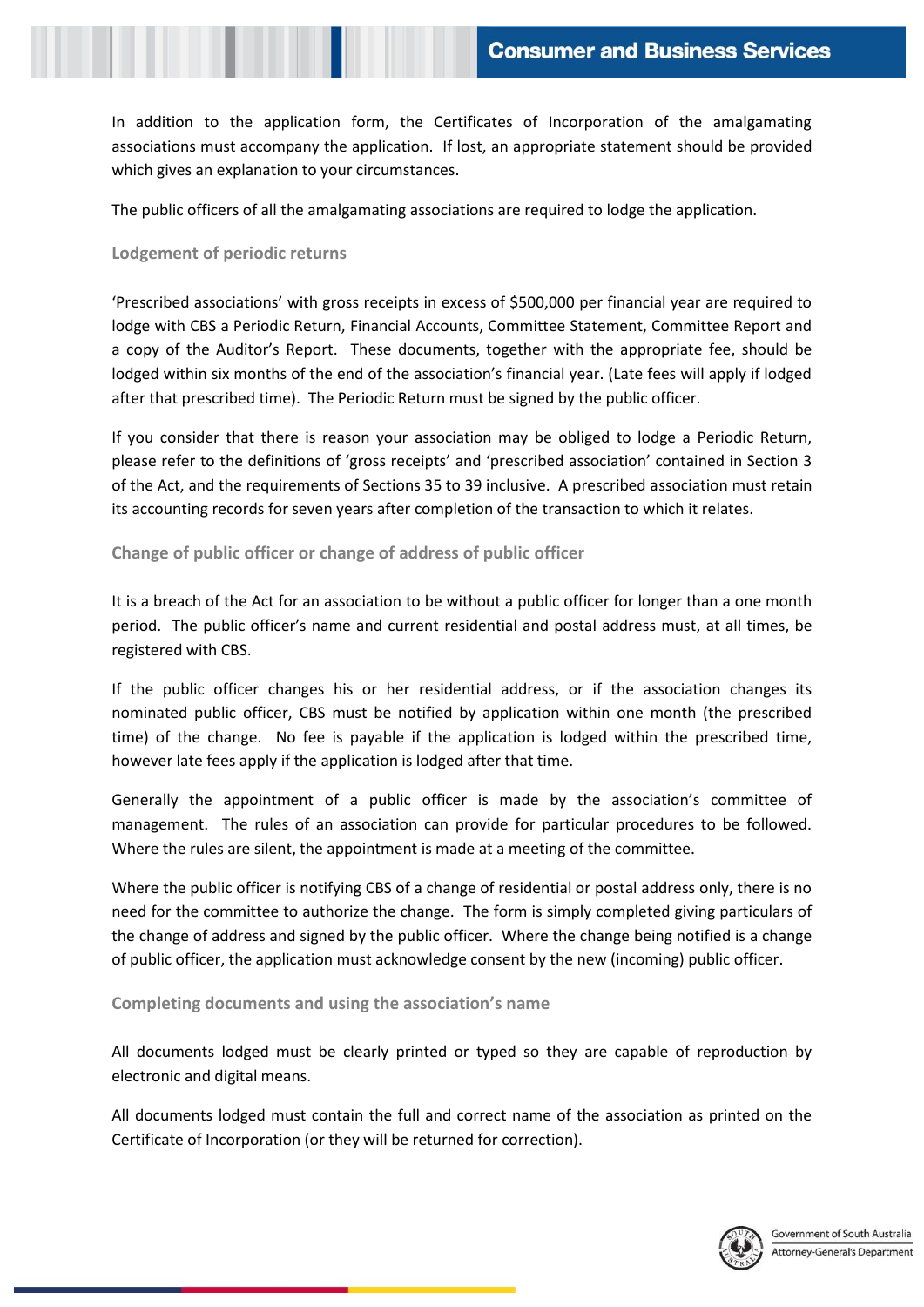In addition to the application form, the Certificates of Incorporation of the amalgamating associations must accompany the application. If lost, an appropriate statement should be provided which gives an explanation to your circumstances.

The public officers of all the amalgamating associations are required to lodge the application.

#### **Lodgement of periodic returns**

 'Prescribed associations' with gross receipts in excess of \$500,000 per financial year are required to lodge with CBS a Periodic Return, Financial Accounts, Committee Statement, Committee Report and a copy of the Auditor's Report. These documents, together with the appropriate fee, should be after that prescribed time). The Periodic Return must be signed by the public officer. lodged within six months of the end of the association's financial year. (Late fees will apply if lodged

 If you consider that there is reason your association may be obliged to lodge a Periodic Return, please refer to the definitions of 'gross receipts' and 'prescribed association' contained in Section 3 of the Act, and the requirements of Sections 35 to 39 inclusive. A prescribed association must retain its accounting records for seven years after completion of the transaction to which it relates.

### **Change of public officer or change of address of public officer**

 It is a breach of the Act for an association to be without a public officer for longer than a one month period. The public officer's name and current residential and postal address must, at all times, be registered with CBS.

 nominated public officer, CBS must be notified by application within one month (the prescribed time) of the change. No fee is payable if the application is lodged within the prescribed time, If the public officer changes his or her residential address, or if the association changes its however late fees apply if the application is lodged after that time.

 Generally the appointment of a public officer is made by the association's committee of management. The rules of an association can provide for particular procedures to be followed. Where the rules are silent, the appointment is made at a meeting of the committee.

 need for the committee to authorize the change. The form is simply completed giving particulars of the change of address and signed by the public officer. Where the change being notified is a change Where the public officer is notifying CBS of a change of residential or postal address only, there is no of public officer, the application must acknowledge consent by the new (incoming) public officer.

 **Completing documents and using the association's name**

 All documents lodged must be clearly printed or typed so they are capable of reproduction by electronic and digital means.

 All documents lodged must contain the full and correct name of the association as printed on the Certificate of Incorporation (or they will be returned for correction).